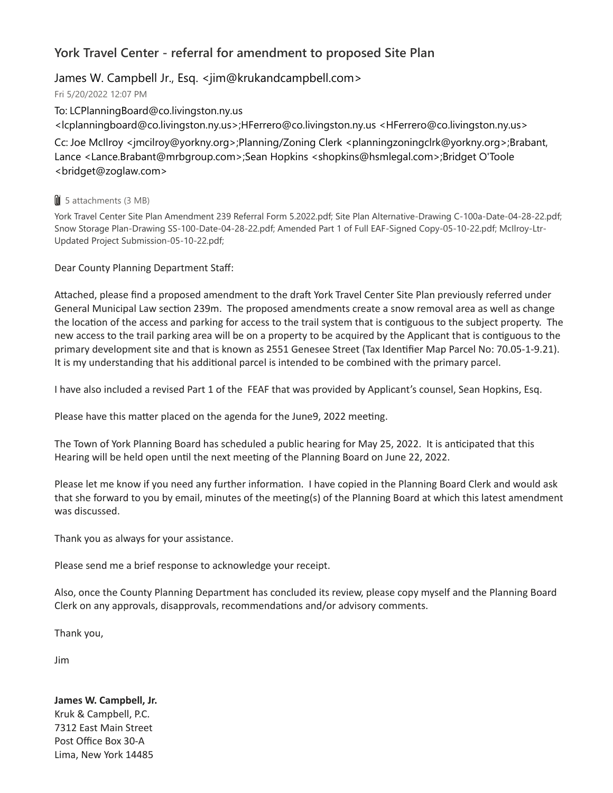## **York Travel Center - referral for amendment to proposed Site Plan**

## James W. Campbell Jr., Esq. <jim@krukandcampbell.com>

Fri 5/20/2022 12:07 PM

To: LCPlanningBoard@co.livingston.ny.us <lcplanningboard@co.livingston.ny.us>;HFerrero@co.livingston.ny.us <HFerrero@co.livingston.ny.us>

Cc: Joe McIlroy <jmcilroy@yorkny.org>;Planning/Zoning Clerk <planningzoningclrk@yorkny.org>;Brabant, Lance <Lance.Brabant@mrbgroup.com>;Sean Hopkins <shopkins@hsmlegal.com>;Bridget O'Toole <bridget@zoglaw.com>

## **U** 5 attachments (3 MB)

York Travel Center Site Plan Amendment 239 Referral Form 5.2022.pdf; Site Plan Alternative-Drawing C-100a-Date-04-28-22.pdf; Snow Storage Plan-Drawing SS-100-Date-04-28-22.pdf; Amended Part 1 of Full EAF-Signed Copy-05-10-22.pdf; McIlroy-Ltr-Updated Project Submission-05-10-22.pdf;

Dear County Planning Department Staff:

Attached, please find a proposed amendment to the draft York Travel Center Site Plan previously referred under General Municipal Law section 239m. The proposed amendments create a snow removal area as well as change the location of the access and parking for access to the trail system that is contiguous to the subject property. The new access to the trail parking area will be on a property to be acquired by the Applicant that is contiguous to the primary development site and that is known as 2551 Genesee Street (Tax Identifier Map Parcel No: 70.05-1-9.21). It is my understanding that his additional parcel is intended to be combined with the primary parcel.

I have also included a revised Part 1 of the FEAF that was provided by Applicant's counsel, Sean Hopkins, Esq.

Please have this matter placed on the agenda for the June9, 2022 meeting.

The Town of York Planning Board has scheduled a public hearing for May 25, 2022. It is anticipated that this Hearing will be held open until the next meeting of the Planning Board on June 22, 2022.

Please let me know if you need any further information. I have copied in the Planning Board Clerk and would ask that she forward to you by email, minutes of the meeting(s) of the Planning Board at which this latest amendment was discussed.

Thank you as always for your assistance.

Please send me a brief response to acknowledge your receipt.

Also, once the County Planning Department has concluded its review, please copy myself and the Planning Board Clerk on any approvals, disapprovals, recommendations and/or advisory comments.

Thank you,

Jim

**James W. Campbell, Jr.** Kruk & Campbell, P.C. 7312 East Main Street Post Office Box 30-A Lima, New York 14485